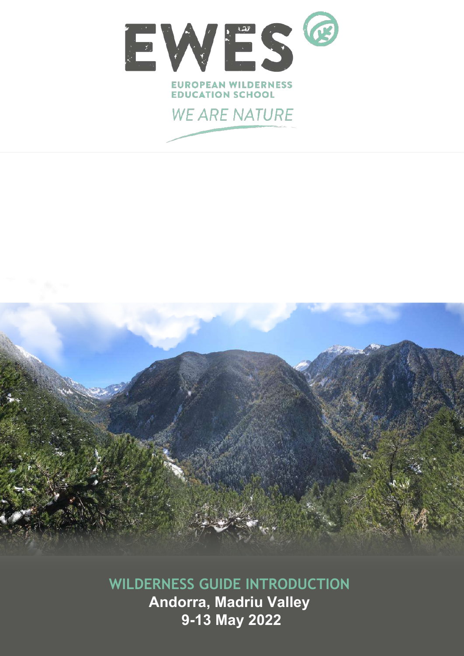



**WILDERNESS GUIDE INTRODUCTION Andorra, Madriu Valley 9-13 May 2022**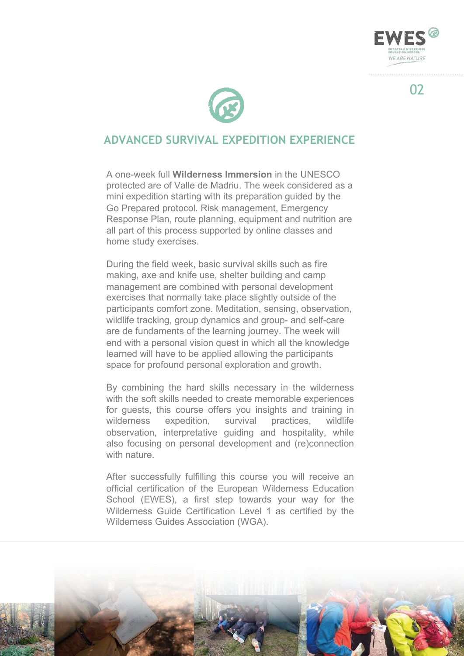



### **ADVANCED SURVIVAL EXPEDITION EXPERIENCE**

A one-week full **Wilderness Immersion** in the UNESCO protected are of Valle de Madriu. The week considered as a mini expedition starting with its preparation guided by the Go Prepared protocol. Risk management, Emergency Response Plan, route planning, equipment and nutrition are all part of this process supported by online classes and home study exercises.

During the field week, basic survival skills such as fire making, axe and knife use, shelter building and camp management are combined with personal development exercises that normally take place slightly outside of the participants comfort zone. Meditation, sensing, observation, wildlife tracking, group dynamics and group- and self-care are de fundaments of the learning journey. The week will end with a personal vision quest in which all the knowledge learned will have to be applied allowing the participants space for profound personal exploration and growth.

By combining the hard skills necessary in the wilderness with the soft skills needed to create memorable experiences for guests, this course offers you insights and training in wilderness expedition, survival practices, wildlife observation, interpretative guiding and hospitality, while also focusing on personal development and (re)connection with nature.

After successfully fulfilling this course you will receive an official certification of the European Wilderness Education School (EWES), a first step towards your way for the Wilderness Guide Certification Level 1 as certified by the Wilderness Guides Association (WGA).



02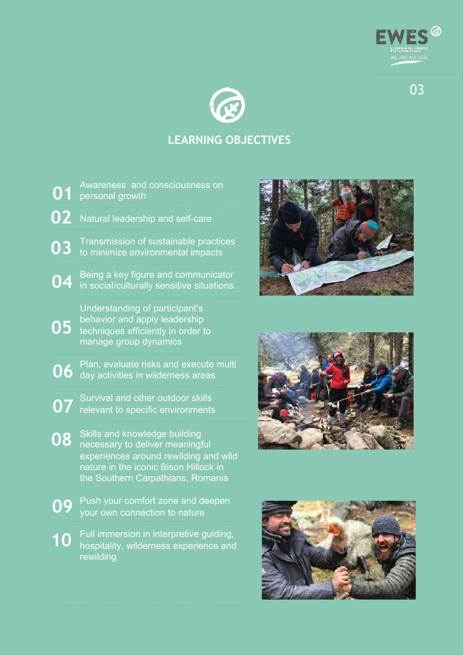



# **LEARNING OBJECTIVES**

- Awareness and consciousness on personal growth Natural leadership and self-care **02** Transmission of sustainable practices to minimize environmental impacts Being a key figure and communicator in social/culturally sensitive situations. Understanding of participant's behavior and apply leadership techniques efficiently in order to manage group dynamics **01 03 04 05**
- Plan, evaluate risks and execute multi day activities in wilderness areas **06**
- Survival and other outdoor skills relevant to specific environments **07**
- Skills and knowledge building necessary to deliver meaningful experiences around rewilding and wild nature in the iconic Bison Hillock in the Southern Carpathians, Romania **08**
- Push your comfort zone and deepen your own connection to nature **09**
- Full immersion in interpretive guiding, hospitality, wilderness experience and rewilding **10**





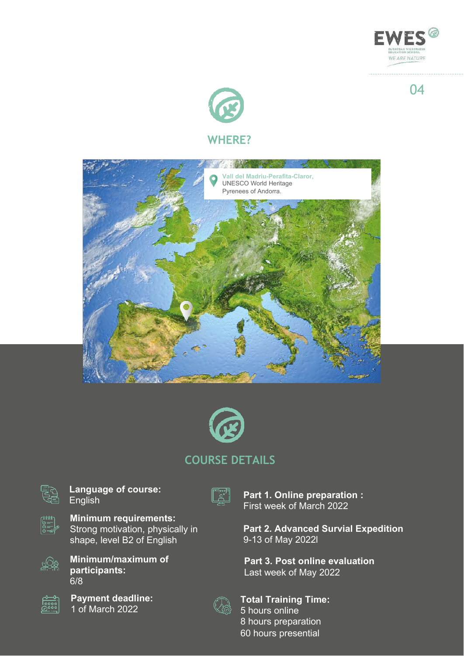



## **WHERE?**





## **COURSE DETAILS**



**Language of course:** English



**Minimum requirements:** Strong motivation, physically in shape, level B2 of English



**Minimum/maximum of participants:** 6/8



**Payment deadline:** 1 of March 2022



**Part 1. Online preparation :** First week of March 2022

**Part 2. Advanced Survial Expedition** 9-13 of May 2022l

**Part 3. Post online evaluation** Last week of May 2022



**Total Training Time:** hours online hours preparation hours presential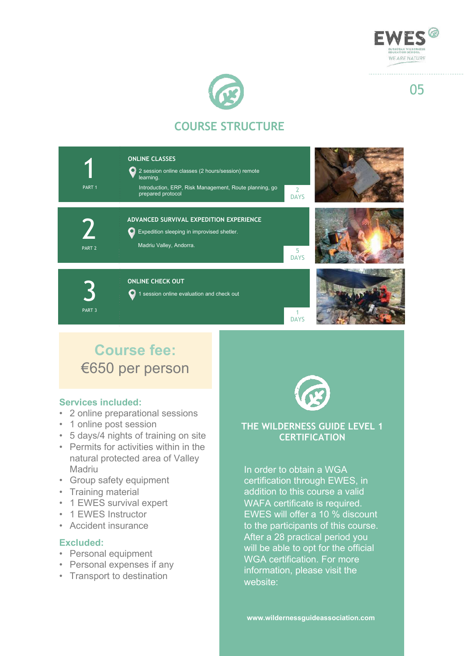



# **COURSE STRUCTURE**



# **Course fee:** €650 per person

#### **Services included:**

- 2 online preparational sessions
- 1 online post session
- 5 days/4 nights of training on site
- Permits for activities within in the natural protected area of Valley **Madriu**
- Group safety equipment
- Training material
- 1 EWES survival expert
- 1 EWES Instructor
- Accident insurance

#### **Excluded:**

- Personal equipment
- Personal expenses if any
- Transport to destination



#### **THE WILDERNESS GUIDE LEVEL 1 CERTIFICATION**

In order to obtain a WGA certification through EWES, in addition to this course a valid WAFA certificate is required. EWES will offer a 10 % discount to the participants of this course. After a 28 practical period you will be able to opt for the official WGA certification. For more information, please visit the website: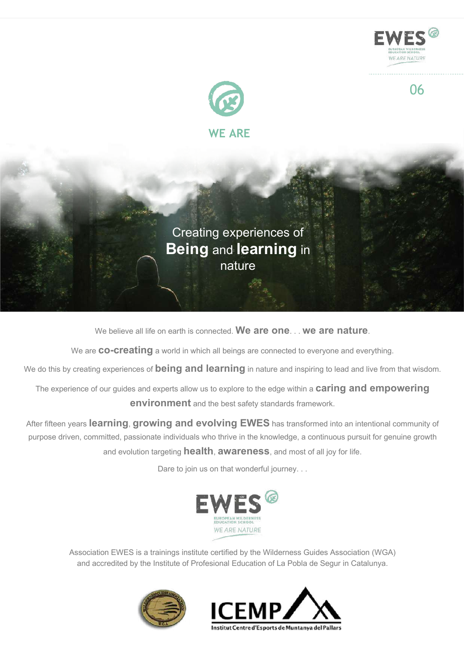



Creating experiences of **Being** and **learning** in nature

We believe all life on earth is connected. **We are one**. . . **we are nature**.

We are **co-creating** a world in which all beings are connected to everyone and everything.

We do this by creating experiences of **being and learning** in nature and inspiring to lead and live from that wisdom.

The experience of our guides and experts allow us to explore to the edge within a **caring and empowering environment** and the best safety standards framework.

After fifteen years **learning**, **growing and evolving EWES** has transformed into an intentional community of purpose driven, committed, passionate individuals who thrive in the knowledge, a continuous pursuit for genuine growth and evolution targeting **health**, **awareness**, and most of all joy for life.

Dare to join us on that wonderful journey. . .



Association EWES is a trainings institute certified by the Wilderness Guides Association (WGA) and accredited by the Institute of Profesional Education of La Pobla de Segur in Catalunya.

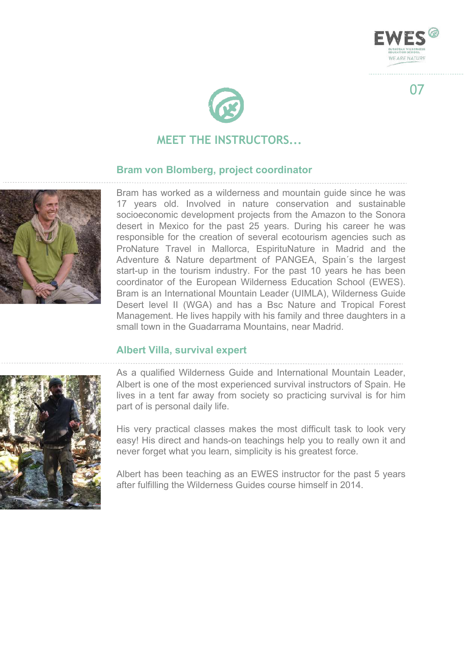



## **MEET THE INSTRUCTORS...**

#### **Bram von Blomberg, project coordinator**



Bram has worked as a wilderness and mountain guide since he was 17 years old. Involved in nature conservation and sustainable socioeconomic development projects from the Amazon to the Sonora desert in Mexico for the past 25 years. During his career he was responsible for the creation of several ecotourism agencies such as ProNature Travel in Mallorca, EspirituNature in Madrid and the Adventure & Nature department of PANGEA, Spain´s the largest start-up in the tourism industry. For the past 10 years he has been coordinator of the European Wilderness Education School (EWES). Bram is an International Mountain Leader (UIMLA), Wilderness Guide Desert level II (WGA) and has a Bsc Nature and Tropical Forest Management. He lives happily with his family and three daughters in a small town in the Guadarrama Mountains, near Madrid.

#### **Albert Villa, survival expert**

As a qualified Wilderness Guide and International Mountain Leader, Albert is one of the most experienced survival instructors of Spain. He lives in a tent far away from society so practicing survival is for him part of is personal daily life.

His very practical classes makes the most difficult task to look very easy! His direct and hands-on teachings help you to really own it and never forget what you learn, simplicity is his greatest force.

Albert has been teaching as an EWES instructor for the past 5 years after fulfilling the Wilderness Guides course himself in 2014.